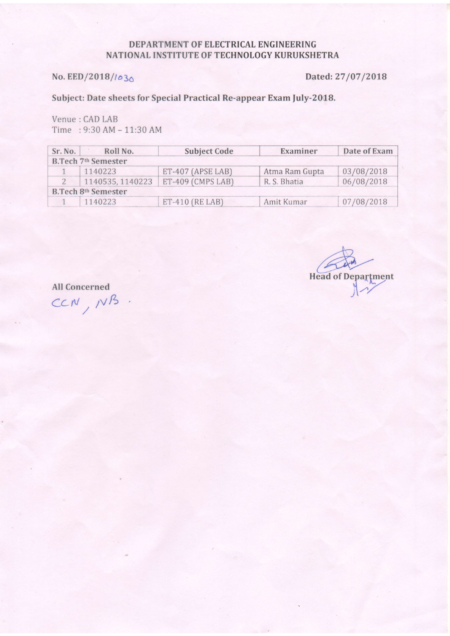### DEPARTMENT OF ELECTRICAL ENGINEERING NATIONAL INSTITUTE OF TECHNOLOGY KURUKSHETRA

## No. EED/2018/1030

Dated: 27/07/2018

## Subject: Date sheets for Special Practical Re-appear Exam July-2018.

Venue : CAD LAB Time:  $9:30 AM - 11:30 AM$ 

| Sr. No.                         | Roll No.         | <b>Subject Code</b> | Examiner       | Date of Exam |  |  |  |  |
|---------------------------------|------------------|---------------------|----------------|--------------|--|--|--|--|
| <b>B.Tech 7th Semester</b>      |                  |                     |                |              |  |  |  |  |
|                                 | 1140223          | $ET-407$ (APSE LAB) | Atma Ram Gupta | 03/08/2018   |  |  |  |  |
|                                 | 1140535, 1140223 | $ET-409$ (CMPS LAB) | R. S. Bhatia   | 06/08/2018   |  |  |  |  |
| B.Tech 8 <sup>th</sup> Semester |                  |                     |                |              |  |  |  |  |
|                                 | 1140223          | $ET-410$ (RE LAB)   | Amit Kumar     | 07/08/2018   |  |  |  |  |

**Head of Department** 

**All Concerned** 

CCN, NB.